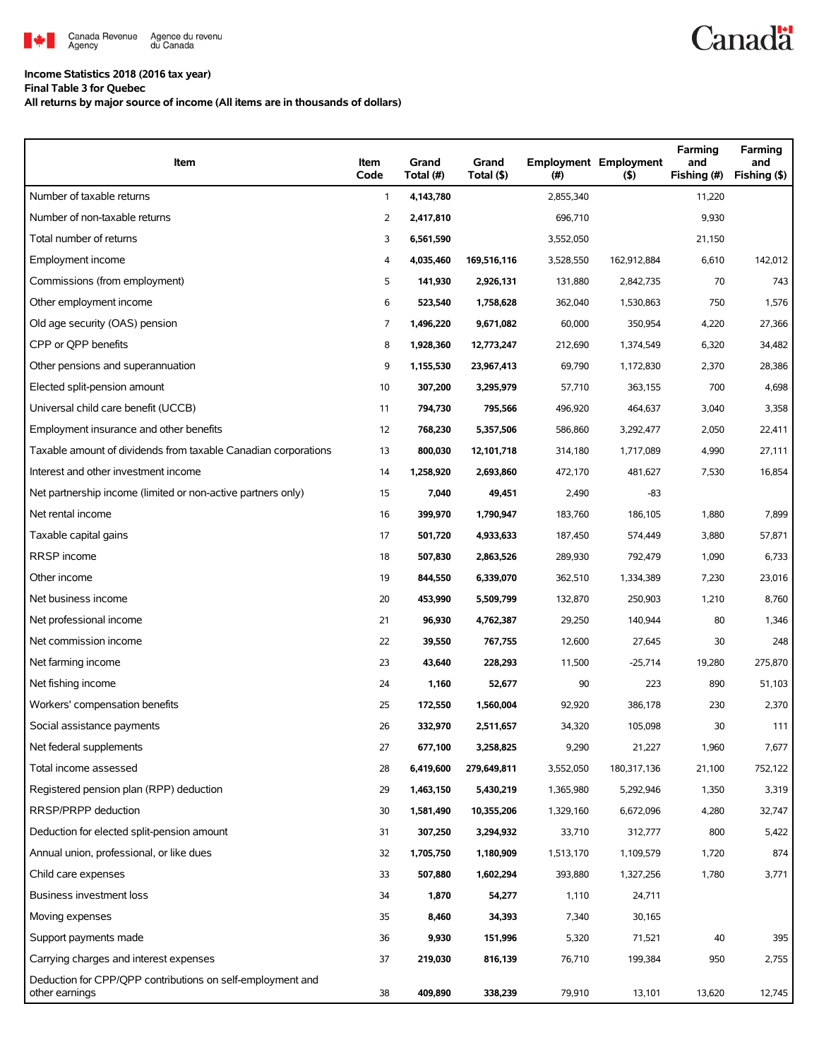

## **Income Statistics 2018 (2016 tax year)**

**Final Table 3 for Quebec**

**All returns by major source of income (All items are in thousands of dollars)**

| Item                                                                         | Item<br>Code | Grand<br>Total (#) | Grand<br>Total (\$) | (# )      | <b>Employment Employment</b><br>(5) | Farming<br>and<br>Fishing (#) | Farming<br>and<br>Fishing (\$) |
|------------------------------------------------------------------------------|--------------|--------------------|---------------------|-----------|-------------------------------------|-------------------------------|--------------------------------|
| Number of taxable returns                                                    | $\mathbf{1}$ | 4,143,780          |                     | 2,855,340 |                                     | 11,220                        |                                |
| Number of non-taxable returns                                                | 2            | 2,417,810          |                     | 696,710   |                                     | 9,930                         |                                |
| Total number of returns                                                      | 3            | 6,561,590          |                     | 3,552,050 |                                     | 21,150                        |                                |
| Employment income                                                            | 4            | 4,035,460          | 169,516,116         | 3,528,550 | 162,912,884                         | 6,610                         | 142,012                        |
| Commissions (from employment)                                                | 5            | 141,930            | 2,926,131           | 131,880   | 2,842,735                           | 70                            | 743                            |
| Other employment income                                                      | 6            | 523,540            | 1,758,628           | 362,040   | 1,530,863                           | 750                           | 1,576                          |
| Old age security (OAS) pension                                               | 7            | 1,496,220          | 9,671,082           | 60,000    | 350,954                             | 4,220                         | 27,366                         |
| CPP or QPP benefits                                                          | 8            | 1,928,360          | 12,773,247          | 212,690   | 1,374,549                           | 6,320                         | 34,482                         |
| Other pensions and superannuation                                            | 9            | 1,155,530          | 23,967,413          | 69,790    | 1,172,830                           | 2,370                         | 28,386                         |
| Elected split-pension amount                                                 | 10           | 307,200            | 3,295,979           | 57,710    | 363,155                             | 700                           | 4,698                          |
| Universal child care benefit (UCCB)                                          | 11           | 794,730            | 795,566             | 496,920   | 464,637                             | 3,040                         | 3,358                          |
| Employment insurance and other benefits                                      | 12           | 768,230            | 5,357,506           | 586,860   | 3,292,477                           | 2,050                         | 22,411                         |
| Taxable amount of dividends from taxable Canadian corporations               | 13           | 800,030            | 12,101,718          | 314,180   | 1,717,089                           | 4,990                         | 27,111                         |
| Interest and other investment income                                         | 14           | 1,258,920          | 2,693,860           | 472,170   | 481,627                             | 7,530                         | 16,854                         |
| Net partnership income (limited or non-active partners only)                 | 15           | 7,040              | 49,451              | 2,490     | $-83$                               |                               |                                |
| Net rental income                                                            | 16           | 399,970            | 1,790,947           | 183,760   | 186,105                             | 1,880                         | 7,899                          |
| Taxable capital gains                                                        | 17           | 501,720            | 4,933,633           | 187,450   | 574,449                             | 3,880                         | 57,871                         |
| RRSP income                                                                  | 18           | 507,830            | 2,863,526           | 289,930   | 792,479                             | 1,090                         | 6,733                          |
| Other income                                                                 | 19           | 844,550            | 6,339,070           | 362,510   | 1,334,389                           | 7,230                         | 23,016                         |
| Net business income                                                          | 20           | 453,990            | 5,509,799           | 132,870   | 250,903                             | 1,210                         | 8,760                          |
| Net professional income                                                      | 21           | 96,930             | 4,762,387           | 29,250    | 140,944                             | 80                            | 1,346                          |
| Net commission income                                                        | 22           | 39,550             | 767,755             | 12,600    | 27,645                              | 30                            | 248                            |
| Net farming income                                                           | 23           | 43,640             | 228,293             | 11,500    | $-25,714$                           | 19,280                        | 275,870                        |
| Net fishing income                                                           | 24           | 1,160              | 52,677              | 90        | 223                                 | 890                           | 51,103                         |
| Workers' compensation benefits                                               | 25           | 172,550            | 1,560,004           | 92,920    | 386,178                             | 230                           | 2,370                          |
| Social assistance payments                                                   | 26           | 332,970            | 2,511,657           | 34,320    | 105,098                             | 30                            | 111                            |
| Net federal supplements                                                      | 27           | 677,100            | 3,258,825           | 9,290     | 21,227                              | 1,960                         | 7,677                          |
| Total income assessed                                                        | 28           | 6,419,600          | 279,649,811         | 3,552,050 | 180,317,136                         | 21,100                        | 752,122                        |
| Registered pension plan (RPP) deduction                                      | 29           | 1,463,150          | 5,430,219           | 1,365,980 | 5,292,946                           | 1,350                         | 3,319                          |
| RRSP/PRPP deduction                                                          | 30           | 1,581,490          | 10,355,206          | 1,329,160 | 6,672,096                           | 4,280                         | 32,747                         |
| Deduction for elected split-pension amount                                   | 31           | 307,250            | 3,294,932           | 33,710    | 312,777                             | 800                           | 5,422                          |
| Annual union, professional, or like dues                                     | 32           | 1,705,750          | 1,180,909           | 1,513,170 | 1,109,579                           | 1,720                         | 874                            |
| Child care expenses                                                          | 33           | 507,880            | 1,602,294           | 393,880   | 1,327,256                           | 1,780                         | 3,771                          |
| <b>Business investment loss</b>                                              | 34           | 1,870              | 54,277              | 1,110     | 24,711                              |                               |                                |
| Moving expenses                                                              | 35           | 8,460              | 34,393              | 7,340     | 30,165                              |                               |                                |
| Support payments made                                                        | 36           | 9,930              | 151,996             | 5,320     | 71,521                              | 40                            | 395                            |
| Carrying charges and interest expenses                                       | 37           | 219,030            | 816,139             | 76,710    | 199,384                             | 950                           | 2,755                          |
| Deduction for CPP/QPP contributions on self-employment and<br>other earnings | 38           | 409,890            | 338,239             | 79,910    | 13,101                              | 13,620                        | 12,745                         |

**Canadä**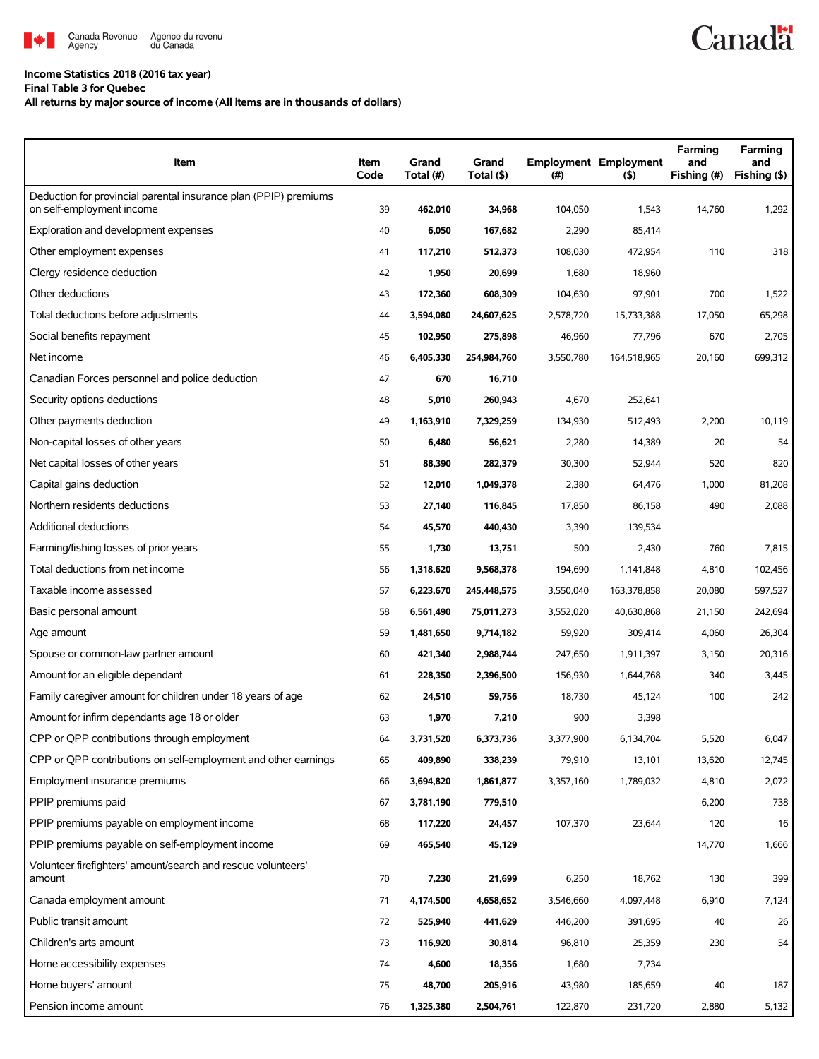

## **Income Statistics 2018 (2016 tax year)**

**Final Table 3 for Quebec**

## **All returns by major source of income (All items are in thousands of dollars)**

| Item                                                                                          | Item<br>Code | Grand<br>Total (#) | Grand<br>Total (\$) | (#)       | <b>Employment Employment</b><br>$($ \$) | Farming<br>and<br>Fishing (#) | Farming<br>and<br>Fishing (\$) |
|-----------------------------------------------------------------------------------------------|--------------|--------------------|---------------------|-----------|-----------------------------------------|-------------------------------|--------------------------------|
| Deduction for provincial parental insurance plan (PPIP) premiums<br>on self-employment income | 39           | 462,010            | 34,968              | 104,050   | 1,543                                   | 14,760                        | 1,292                          |
| Exploration and development expenses                                                          | 40           | 6,050              | 167,682             | 2,290     | 85,414                                  |                               |                                |
| Other employment expenses                                                                     | 41           | 117,210            | 512,373             | 108,030   | 472,954                                 | 110                           | 318                            |
| Clergy residence deduction                                                                    | 42           | 1,950              | 20,699              | 1,680     | 18,960                                  |                               |                                |
| Other deductions                                                                              | 43           | 172,360            | 608,309             | 104,630   | 97,901                                  | 700                           | 1,522                          |
| Total deductions before adjustments                                                           | 44           | 3,594,080          | 24,607,625          | 2,578,720 | 15,733,388                              | 17,050                        | 65,298                         |
| Social benefits repayment                                                                     | 45           | 102,950            | 275,898             | 46,960    | 77,796                                  | 670                           | 2,705                          |
| Net income                                                                                    | 46           | 6,405,330          | 254,984,760         | 3,550,780 | 164,518,965                             | 20,160                        | 699,312                        |
| Canadian Forces personnel and police deduction                                                | 47           | 670                | 16,710              |           |                                         |                               |                                |
| Security options deductions                                                                   | 48           | 5,010              | 260,943             | 4,670     | 252,641                                 |                               |                                |
| Other payments deduction                                                                      | 49           | 1,163,910          | 7,329,259           | 134,930   | 512,493                                 | 2,200                         | 10,119                         |
| Non-capital losses of other years                                                             | 50           | 6,480              | 56,621              | 2,280     | 14,389                                  | 20                            | 54                             |
| Net capital losses of other years                                                             | 51           | 88,390             | 282,379             | 30,300    | 52,944                                  | 520                           | 820                            |
| Capital gains deduction                                                                       | 52           | 12,010             | 1,049,378           | 2,380     | 64,476                                  | 1,000                         | 81,208                         |
| Northern residents deductions                                                                 | 53           | 27,140             | 116,845             | 17,850    | 86,158                                  | 490                           | 2,088                          |
| Additional deductions                                                                         | 54           | 45,570             | 440,430             | 3,390     | 139,534                                 |                               |                                |
| Farming/fishing losses of prior years                                                         | 55           | 1,730              | 13,751              | 500       | 2,430                                   | 760                           | 7,815                          |
| Total deductions from net income                                                              | 56           | 1,318,620          | 9,568,378           | 194,690   | 1,141,848                               | 4,810                         | 102,456                        |
| Taxable income assessed                                                                       | 57           | 6,223,670          | 245,448,575         | 3,550,040 | 163,378,858                             | 20,080                        | 597,527                        |
| Basic personal amount                                                                         | 58           | 6,561,490          | 75,011,273          | 3,552,020 | 40,630,868                              | 21,150                        | 242,694                        |
| Age amount                                                                                    | 59           | 1,481,650          | 9,714,182           | 59,920    | 309,414                                 | 4,060                         | 26,304                         |
| Spouse or common-law partner amount                                                           | 60           | 421,340            | 2,988,744           | 247,650   | 1,911,397                               | 3,150                         | 20,316                         |
| Amount for an eligible dependant                                                              | 61           | 228,350            | 2,396,500           | 156,930   | 1,644,768                               | 340                           | 3,445                          |
| Family caregiver amount for children under 18 years of age                                    | 62           | 24,510             | 59,756              | 18,730    | 45,124                                  | 100                           | 242                            |
| Amount for infirm dependants age 18 or older                                                  | 63           | 1,970              | 7,210               | 900       | 3,398                                   |                               |                                |
| CPP or QPP contributions through employment                                                   | 64           | 3,731,520          | 6,373,736           | 3,377,900 | 6,134,704                               | 5,520                         | 6,047                          |
| CPP or QPP contributions on self-employment and other earnings                                | 65           | 409,890            | 338,239             | 79,910    | 13,101                                  | 13,620                        | 12,745                         |
| Employment insurance premiums                                                                 | 66           | 3,694,820          | 1,861,877           | 3,357,160 | 1,789,032                               | 4,810                         | 2,072                          |
| PPIP premiums paid                                                                            | 67           | 3,781,190          | 779,510             |           |                                         | 6,200                         | 738                            |
| PPIP premiums payable on employment income                                                    | 68           | 117,220            | 24,457              | 107,370   | 23,644                                  | 120                           | 16                             |
| PPIP premiums payable on self-employment income                                               | 69           | 465,540            | 45,129              |           |                                         | 14,770                        | 1,666                          |
| Volunteer firefighters' amount/search and rescue volunteers'<br>amount                        | 70           | 7,230              | 21,699              | 6,250     | 18,762                                  | 130                           | 399                            |
| Canada employment amount                                                                      | 71           | 4,174,500          | 4,658,652           | 3,546,660 | 4,097,448                               | 6,910                         | 7,124                          |
| Public transit amount                                                                         | 72           | 525,940            | 441,629             | 446,200   | 391,695                                 | 40                            | 26                             |
| Children's arts amount                                                                        | 73           | 116,920            | 30,814              | 96,810    | 25,359                                  | 230                           | 54                             |
| Home accessibility expenses                                                                   | 74           | 4,600              | 18,356              | 1,680     | 7,734                                   |                               |                                |
| Home buyers' amount                                                                           | 75           | 48,700             | 205,916             | 43,980    | 185,659                                 | 40                            | 187                            |
| Pension income amount                                                                         | 76           | 1,325,380          | 2,504,761           | 122,870   | 231,720                                 | 2,880                         | 5,132                          |

**Canadä**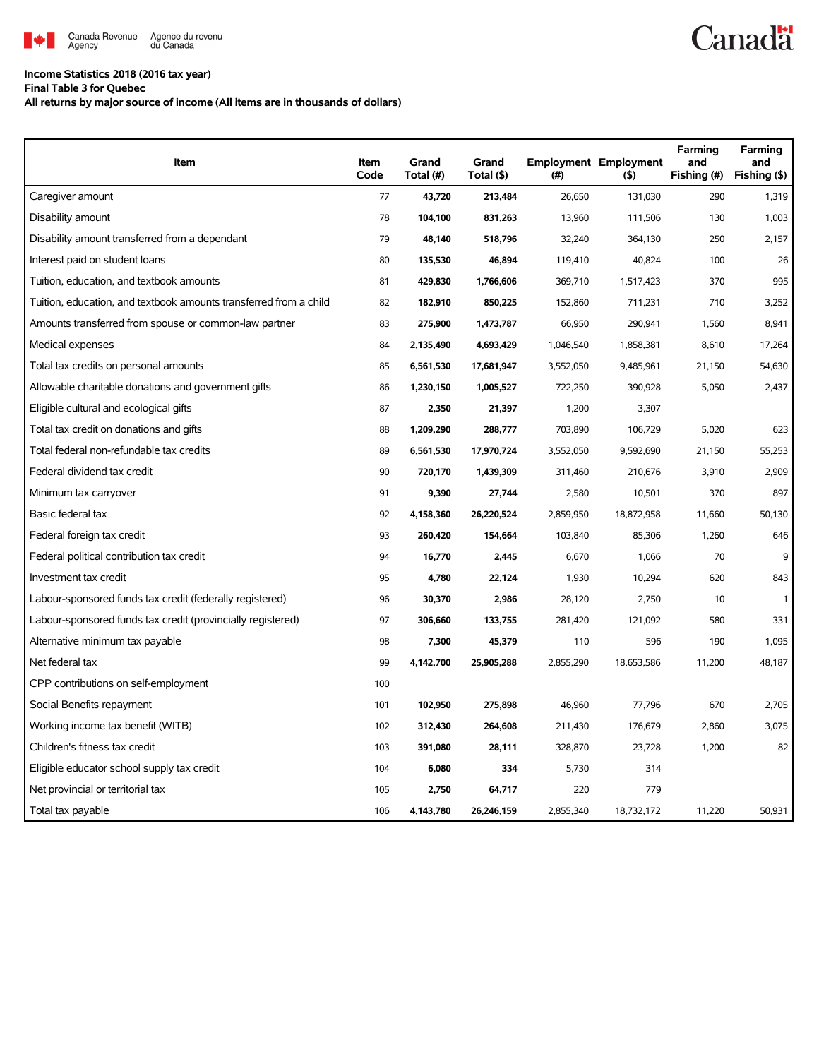

## **Income Statistics 2018 (2016 tax year)**

**Final Table 3 for Quebec**

**All returns by major source of income (All items are in thousands of dollars)**

| <b>Item</b>                                                       | <b>Item</b><br>Code | Grand<br>Total (#) | Grand<br>Total (\$) | (# )      | <b>Employment Employment</b><br>(5) | Farming<br>and<br>Fishing (#) | Farming<br>and<br>Fishing (\$) |
|-------------------------------------------------------------------|---------------------|--------------------|---------------------|-----------|-------------------------------------|-------------------------------|--------------------------------|
| Caregiver amount                                                  | 77                  | 43,720             | 213,484             | 26,650    | 131,030                             | 290                           | 1,319                          |
| Disability amount                                                 | 78                  | 104,100            | 831,263             | 13,960    | 111,506                             | 130                           | 1,003                          |
| Disability amount transferred from a dependant                    | 79                  | 48,140             | 518,796             | 32,240    | 364,130                             | 250                           | 2,157                          |
| Interest paid on student loans                                    | 80                  | 135,530            | 46,894              | 119,410   | 40,824                              | 100                           | 26                             |
| Tuition, education, and textbook amounts                          | 81                  | 429,830            | 1,766,606           | 369,710   | 1,517,423                           | 370                           | 995                            |
| Tuition, education, and textbook amounts transferred from a child | 82                  | 182,910            | 850,225             | 152,860   | 711,231                             | 710                           | 3,252                          |
| Amounts transferred from spouse or common-law partner             | 83                  | 275,900            | 1,473,787           | 66,950    | 290,941                             | 1,560                         | 8,941                          |
| Medical expenses                                                  | 84                  | 2,135,490          | 4,693,429           | 1,046,540 | 1,858,381                           | 8,610                         | 17,264                         |
| Total tax credits on personal amounts                             | 85                  | 6,561,530          | 17,681,947          | 3,552,050 | 9,485,961                           | 21,150                        | 54,630                         |
| Allowable charitable donations and government gifts               | 86                  | 1,230,150          | 1,005,527           | 722,250   | 390,928                             | 5,050                         | 2,437                          |
| Eligible cultural and ecological gifts                            | 87                  | 2,350              | 21,397              | 1,200     | 3,307                               |                               |                                |
| Total tax credit on donations and gifts                           | 88                  | 1,209,290          | 288,777             | 703,890   | 106,729                             | 5,020                         | 623                            |
| Total federal non-refundable tax credits                          | 89                  | 6,561,530          | 17,970,724          | 3,552,050 | 9,592,690                           | 21,150                        | 55,253                         |
| Federal dividend tax credit                                       | 90                  | 720,170            | 1,439,309           | 311,460   | 210,676                             | 3,910                         | 2,909                          |
| Minimum tax carryover                                             | 91                  | 9,390              | 27,744              | 2,580     | 10,501                              | 370                           | 897                            |
| Basic federal tax                                                 | 92                  | 4,158,360          | 26,220,524          | 2,859,950 | 18,872,958                          | 11,660                        | 50,130                         |
| Federal foreign tax credit                                        | 93                  | 260,420            | 154,664             | 103,840   | 85,306                              | 1,260                         | 646                            |
| Federal political contribution tax credit                         | 94                  | 16,770             | 2,445               | 6,670     | 1,066                               | 70                            | 9                              |
| Investment tax credit                                             | 95                  | 4,780              | 22,124              | 1,930     | 10,294                              | 620                           | 843                            |
| Labour-sponsored funds tax credit (federally registered)          | 96                  | 30,370             | 2,986               | 28,120    | 2,750                               | 10                            | $\mathbf{1}$                   |
| Labour-sponsored funds tax credit (provincially registered)       | 97                  | 306,660            | 133,755             | 281,420   | 121,092                             | 580                           | 331                            |
| Alternative minimum tax payable                                   | 98                  | 7,300              | 45,379              | 110       | 596                                 | 190                           | 1,095                          |
| Net federal tax                                                   | 99                  | 4,142,700          | 25,905,288          | 2,855,290 | 18,653,586                          | 11,200                        | 48,187                         |
| CPP contributions on self-employment                              | 100                 |                    |                     |           |                                     |                               |                                |
| Social Benefits repayment                                         | 101                 | 102,950            | 275,898             | 46,960    | 77,796                              | 670                           | 2.705                          |
| Working income tax benefit (WITB)                                 | 102                 | 312,430            | 264,608             | 211,430   | 176,679                             | 2,860                         | 3,075                          |
| Children's fitness tax credit                                     | 103                 | 391,080            | 28,111              | 328,870   | 23,728                              | 1,200                         | 82                             |
| Eligible educator school supply tax credit                        | 104                 | 6,080              | 334                 | 5,730     | 314                                 |                               |                                |
| Net provincial or territorial tax                                 | 105                 | 2,750              | 64,717              | 220       | 779                                 |                               |                                |
| Total tax payable                                                 | 106                 | 4,143,780          | 26,246,159          | 2,855,340 | 18,732,172                          | 11,220                        | 50.931                         |

**Canadä**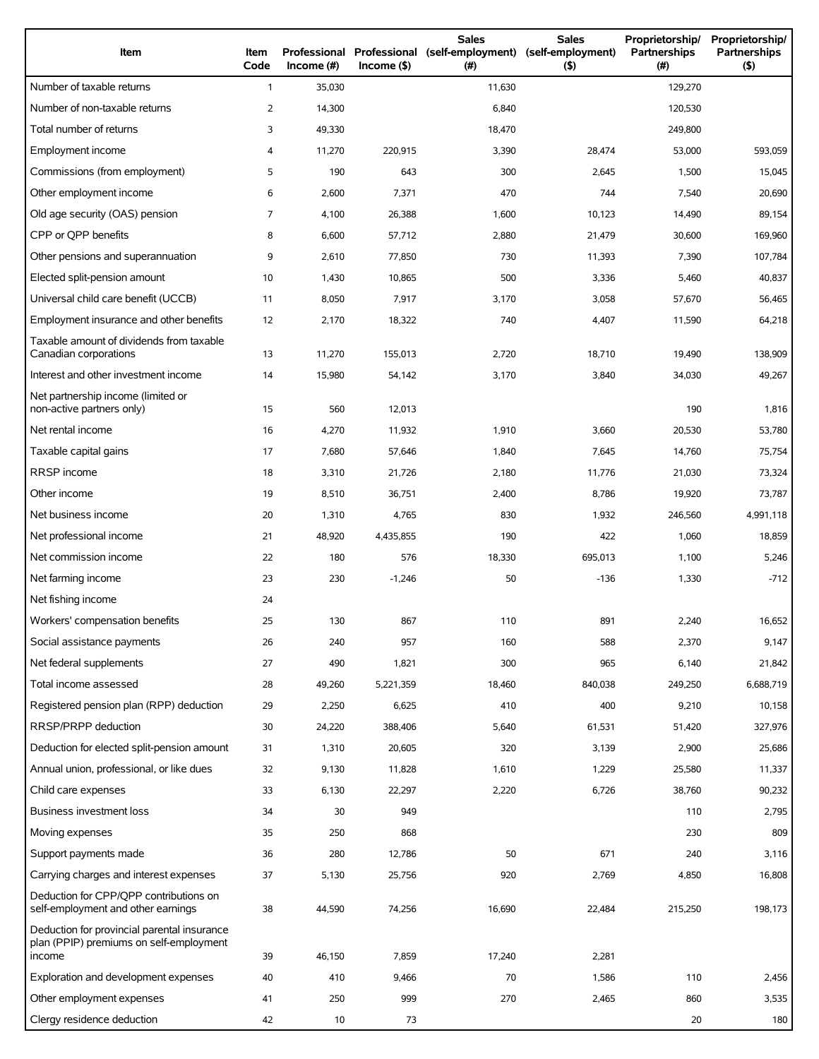| Item                                                                                             | Item<br>Code | Professional<br>Income (#) | $Income($ \$) | <b>Sales</b><br>Professional (self-employment)<br>(# ) | <b>Sales</b><br>(self-employment)<br>(5) | Proprietorship/<br>Partnerships<br>(#) | Proprietorship/<br>Partnerships<br>(5) |
|--------------------------------------------------------------------------------------------------|--------------|----------------------------|---------------|--------------------------------------------------------|------------------------------------------|----------------------------------------|----------------------------------------|
| Number of taxable returns                                                                        | $\mathbf{1}$ | 35,030                     |               | 11,630                                                 |                                          | 129,270                                |                                        |
| Number of non-taxable returns                                                                    | 2            | 14,300                     |               | 6,840                                                  |                                          | 120,530                                |                                        |
| Total number of returns                                                                          | 3            | 49,330                     |               | 18,470                                                 |                                          | 249,800                                |                                        |
| Employment income                                                                                | 4            | 11,270                     | 220,915       | 3,390                                                  | 28,474                                   | 53,000                                 | 593,059                                |
| Commissions (from employment)                                                                    | 5            | 190                        | 643           | 300                                                    | 2,645                                    | 1,500                                  | 15,045                                 |
| Other employment income                                                                          | 6            | 2,600                      | 7,371         | 470                                                    | 744                                      | 7,540                                  | 20,690                                 |
| Old age security (OAS) pension                                                                   | 7            | 4,100                      | 26,388        | 1,600                                                  | 10,123                                   | 14,490                                 | 89,154                                 |
| CPP or OPP benefits                                                                              | 8            | 6,600                      | 57,712        | 2,880                                                  | 21,479                                   | 30,600                                 | 169,960                                |
| Other pensions and superannuation                                                                | 9            | 2,610                      | 77,850        | 730                                                    | 11,393                                   | 7,390                                  | 107,784                                |
| Elected split-pension amount                                                                     | 10           | 1,430                      | 10,865        | 500                                                    | 3,336                                    | 5,460                                  | 40,837                                 |
| Universal child care benefit (UCCB)                                                              | 11           | 8,050                      | 7,917         | 3,170                                                  | 3,058                                    | 57,670                                 | 56,465                                 |
| Employment insurance and other benefits                                                          | 12           | 2,170                      | 18,322        | 740                                                    | 4,407                                    | 11,590                                 | 64,218                                 |
| Taxable amount of dividends from taxable<br>Canadian corporations                                | 13           | 11,270                     | 155.013       | 2,720                                                  | 18,710                                   | 19,490                                 | 138,909                                |
| Interest and other investment income                                                             | 14           | 15,980                     | 54,142        | 3,170                                                  | 3,840                                    | 34,030                                 | 49,267                                 |
| Net partnership income (limited or<br>non-active partners only)                                  | 15           | 560                        | 12,013        |                                                        |                                          | 190                                    | 1,816                                  |
| Net rental income                                                                                | 16           | 4,270                      | 11,932        | 1,910                                                  | 3,660                                    | 20,530                                 | 53,780                                 |
| Taxable capital gains                                                                            | 17           | 7,680                      | 57,646        | 1,840                                                  | 7,645                                    | 14,760                                 | 75,754                                 |
| RRSP income                                                                                      | 18           | 3,310                      | 21,726        | 2,180                                                  | 11,776                                   | 21,030                                 | 73,324                                 |
| Other income                                                                                     | 19           | 8,510                      | 36,751        | 2,400                                                  | 8,786                                    | 19,920                                 | 73,787                                 |
| Net business income                                                                              | 20           | 1,310                      | 4,765         | 830                                                    | 1,932                                    | 246,560                                | 4,991,118                              |
| Net professional income                                                                          | 21           | 48,920                     | 4,435,855     | 190                                                    | 422                                      | 1,060                                  | 18,859                                 |
| Net commission income                                                                            | 22           | 180                        | 576           | 18,330                                                 | 695,013                                  | 1,100                                  | 5,246                                  |
| Net farming income                                                                               | 23           | 230                        | $-1,246$      | 50                                                     | $-136$                                   | 1,330                                  | $-712$                                 |
| Net fishing income                                                                               | 24           |                            |               |                                                        |                                          |                                        |                                        |
| Workers' compensation benefits                                                                   | 25           | 130                        | 867           | 110                                                    | 891                                      | 2,240                                  | 16,652                                 |
| Social assistance payments                                                                       | 26           | 240                        | 957           | 160                                                    | 588                                      | 2,370                                  | 9,147                                  |
| Net federal supplements                                                                          | 27           | 490                        | 1,821         | 300                                                    | 965                                      | 6,140                                  | 21,842                                 |
| Total income assessed                                                                            | 28           | 49,260                     | 5,221,359     | 18,460                                                 | 840,038                                  | 249,250                                | 6,688,719                              |
| Registered pension plan (RPP) deduction                                                          | 29           | 2,250                      | 6,625         | 410                                                    | 400                                      | 9,210                                  | 10,158                                 |
| RRSP/PRPP deduction                                                                              | 30           | 24,220                     | 388,406       | 5,640                                                  | 61,531                                   | 51,420                                 | 327,976                                |
| Deduction for elected split-pension amount                                                       | 31           | 1,310                      | 20,605        | 320                                                    | 3,139                                    | 2,900                                  | 25,686                                 |
| Annual union, professional, or like dues                                                         | 32           | 9,130                      | 11,828        | 1,610                                                  | 1,229                                    | 25,580                                 | 11,337                                 |
| Child care expenses                                                                              | 33           | 6,130                      | 22,297        | 2,220                                                  | 6,726                                    | 38,760                                 | 90,232                                 |
| Business investment loss                                                                         | 34           | 30                         | 949           |                                                        |                                          | 110                                    | 2,795                                  |
| Moving expenses                                                                                  | 35           | 250                        | 868           |                                                        |                                          | 230                                    | 809                                    |
| Support payments made                                                                            | 36           | 280                        | 12,786        | 50                                                     | 671                                      | 240                                    | 3,116                                  |
| Carrying charges and interest expenses                                                           | 37           | 5,130                      | 25,756        | 920                                                    | 2,769                                    | 4,850                                  | 16,808                                 |
| Deduction for CPP/QPP contributions on<br>self-employment and other earnings                     | 38           | 44,590                     | 74,256        | 16,690                                                 | 22,484                                   | 215,250                                | 198,173                                |
| Deduction for provincial parental insurance<br>plan (PPIP) premiums on self-employment<br>income | 39           | 46,150                     | 7,859         | 17,240                                                 | 2,281                                    |                                        |                                        |
| Exploration and development expenses                                                             | 40           | 410                        | 9,466         | 70                                                     | 1,586                                    | 110                                    | 2,456                                  |
| Other employment expenses                                                                        | 41           | 250                        | 999           | 270                                                    | 2,465                                    | 860                                    | 3,535                                  |
| Clergy residence deduction                                                                       | 42           | 10                         | 73            |                                                        |                                          | 20                                     | 180                                    |
|                                                                                                  |              |                            |               |                                                        |                                          |                                        |                                        |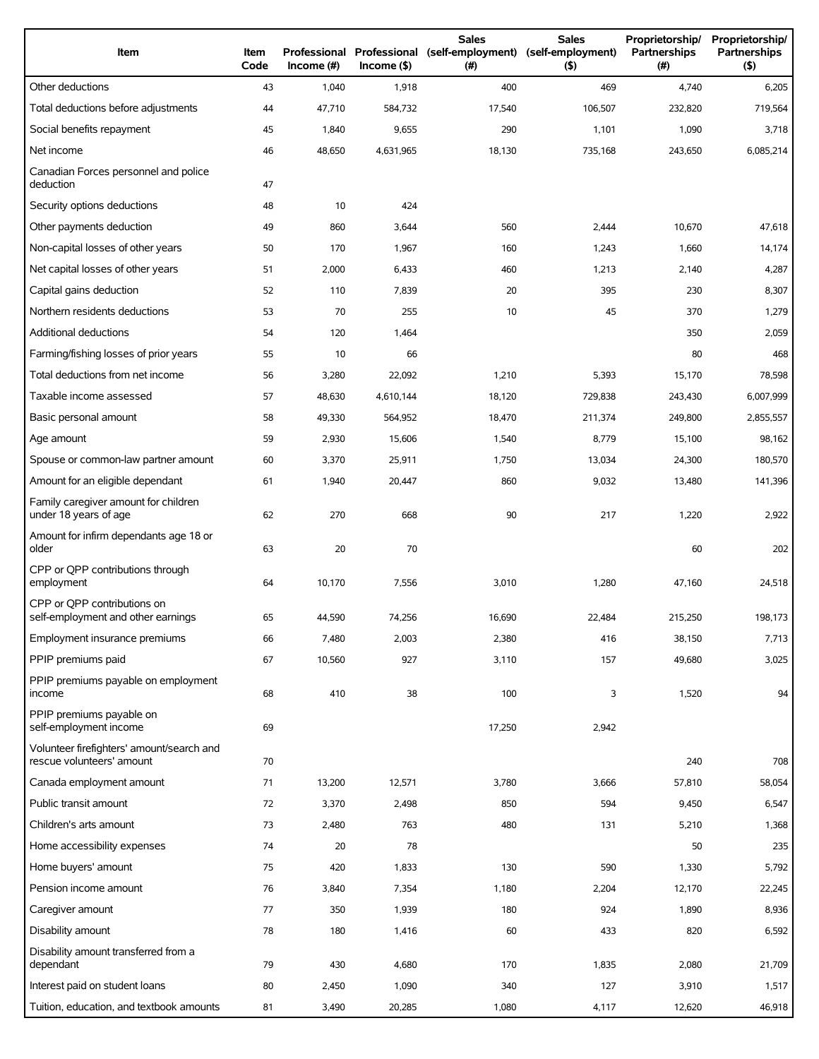| Item                                                                   | Item<br>Code | Income $#)$ | $Income($ \$) | <b>Sales</b><br>Professional Professional (self-employment) (self-employment)<br>(#) | <b>Sales</b><br>(5) | Proprietorship/<br>Partnerships<br>(# ) | Proprietorship/<br><b>Partnerships</b><br>(5) |
|------------------------------------------------------------------------|--------------|-------------|---------------|--------------------------------------------------------------------------------------|---------------------|-----------------------------------------|-----------------------------------------------|
| Other deductions                                                       | 43           | 1,040       | 1,918         | 400                                                                                  | 469                 | 4,740                                   | 6,205                                         |
| Total deductions before adjustments                                    | 44           | 47,710      | 584,732       | 17,540                                                                               | 106,507             | 232,820                                 | 719,564                                       |
| Social benefits repayment                                              | 45           | 1,840       | 9,655         | 290                                                                                  | 1,101               | 1,090                                   | 3,718                                         |
| Net income                                                             | 46           | 48,650      | 4,631,965     | 18,130                                                                               | 735,168             | 243,650                                 | 6,085,214                                     |
| Canadian Forces personnel and police<br>deduction                      | 47           |             |               |                                                                                      |                     |                                         |                                               |
| Security options deductions                                            | 48           | 10          | 424           |                                                                                      |                     |                                         |                                               |
| Other payments deduction                                               | 49           | 860         | 3,644         | 560                                                                                  | 2,444               | 10,670                                  | 47,618                                        |
| Non-capital losses of other years                                      | 50           | 170         | 1,967         | 160                                                                                  | 1,243               | 1,660                                   | 14,174                                        |
| Net capital losses of other years                                      | 51           | 2,000       | 6,433         | 460                                                                                  | 1,213               | 2,140                                   | 4,287                                         |
| Capital gains deduction                                                | 52           | 110         | 7,839         | 20                                                                                   | 395                 | 230                                     | 8,307                                         |
| Northern residents deductions                                          | 53           | 70          | 255           | 10                                                                                   | 45                  | 370                                     | 1,279                                         |
| <b>Additional deductions</b>                                           | 54           | 120         | 1,464         |                                                                                      |                     | 350                                     | 2,059                                         |
| Farming/fishing losses of prior years                                  | 55           | 10          | 66            |                                                                                      |                     | 80                                      | 468                                           |
| Total deductions from net income                                       | 56           | 3,280       | 22,092        | 1,210                                                                                | 5,393               | 15,170                                  | 78,598                                        |
| Taxable income assessed                                                | 57           | 48,630      | 4,610,144     | 18,120                                                                               | 729,838             | 243,430                                 | 6,007,999                                     |
| Basic personal amount                                                  | 58           | 49,330      | 564,952       | 18,470                                                                               | 211,374             | 249,800                                 | 2,855,557                                     |
| Age amount                                                             | 59           | 2,930       | 15,606        | 1,540                                                                                | 8,779               | 15,100                                  | 98,162                                        |
| Spouse or common-law partner amount                                    | 60           | 3,370       | 25,911        | 1,750                                                                                | 13,034              | 24,300                                  | 180,570                                       |
| Amount for an eligible dependant                                       | 61           | 1,940       | 20,447        | 860                                                                                  | 9,032               | 13,480                                  | 141,396                                       |
| Family caregiver amount for children<br>under 18 years of age          | 62           | 270         | 668           | 90                                                                                   | 217                 | 1,220                                   | 2,922                                         |
| Amount for infirm dependants age 18 or<br>older                        | 63           | 20          | 70            |                                                                                      |                     | 60                                      | 202                                           |
| CPP or QPP contributions through<br>employment                         | 64           | 10,170      | 7,556         | 3,010                                                                                | 1,280               | 47,160                                  | 24,518                                        |
| CPP or QPP contributions on<br>self-employment and other earnings      | 65           | 44,590      | 74,256        | 16,690                                                                               | 22,484              | 215,250                                 | 198,173                                       |
| Employment insurance premiums                                          | 66           | 7,480       | 2,003         | 2,380                                                                                | 416                 | 38,150                                  | 7,713                                         |
| PPIP premiums paid                                                     | 67           | 10,560      | 927           | 3,110                                                                                | 157                 | 49,680                                  | 3,025                                         |
| PPIP premiums payable on employment<br>income                          | 68           | 410         | 38            | 100                                                                                  | 3                   | 1,520                                   | 94                                            |
| PPIP premiums payable on<br>self-employment income                     | 69           |             |               | 17,250                                                                               | 2,942               |                                         |                                               |
| Volunteer firefighters' amount/search and<br>rescue volunteers' amount | 70           |             |               |                                                                                      |                     | 240                                     | 708                                           |
| Canada employment amount                                               | 71           | 13,200      | 12,571        | 3,780                                                                                | 3,666               | 57,810                                  | 58,054                                        |
| Public transit amount                                                  | 72           | 3,370       | 2,498         | 850                                                                                  | 594                 | 9,450                                   | 6,547                                         |
| Children's arts amount                                                 | 73           | 2,480       | 763           | 480                                                                                  | 131                 | 5,210                                   | 1,368                                         |
| Home accessibility expenses                                            | 74           | 20          | 78            |                                                                                      |                     | 50                                      | 235                                           |
| Home buyers' amount                                                    | 75           | 420         | 1,833         | 130                                                                                  | 590                 | 1,330                                   | 5,792                                         |
| Pension income amount                                                  | 76           | 3,840       | 7,354         | 1,180                                                                                | 2,204               | 12,170                                  | 22,245                                        |
| Caregiver amount                                                       | 77           | 350         | 1,939         | 180                                                                                  | 924                 | 1,890                                   | 8,936                                         |
| Disability amount                                                      | 78           | 180         | 1,416         | 60                                                                                   | 433                 | 820                                     | 6,592                                         |
| Disability amount transferred from a<br>dependant                      | 79           | 430         | 4,680         | 170                                                                                  | 1,835               | 2,080                                   | 21,709                                        |
| Interest paid on student loans                                         | 80           | 2,450       | 1,090         | 340                                                                                  | 127                 | 3,910                                   | 1,517                                         |
| Tuition, education, and textbook amounts                               | 81           | 3,490       | 20,285        | 1,080                                                                                | 4,117               | 12,620                                  | 46,918                                        |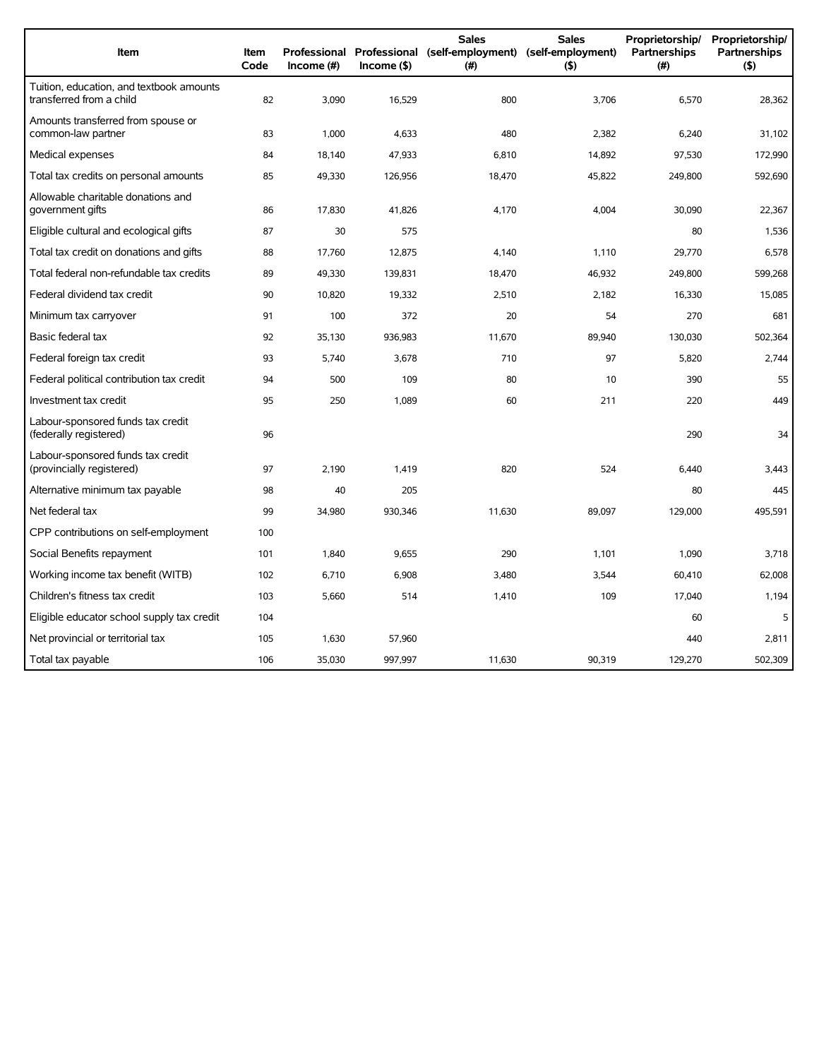| Item                                                                 | Item<br>Code | Professional<br>$Income$ (#) | $Income($ \$) | <b>Sales</b><br>Professional (self-employment) (self-employment)<br>(#) | <b>Sales</b><br>(5) | Proprietorship/<br>Partnerships<br>(# ) | Proprietorship/<br><b>Partnerships</b><br>(5) |
|----------------------------------------------------------------------|--------------|------------------------------|---------------|-------------------------------------------------------------------------|---------------------|-----------------------------------------|-----------------------------------------------|
| Tuition, education, and textbook amounts<br>transferred from a child | 82           | 3,090                        | 16,529        | 800                                                                     | 3,706               | 6,570                                   | 28,362                                        |
| Amounts transferred from spouse or<br>common-law partner             | 83           | 1,000                        | 4,633         | 480                                                                     | 2,382               | 6,240                                   | 31,102                                        |
| Medical expenses                                                     | 84           | 18.140                       | 47,933        | 6.810                                                                   | 14.892              | 97,530                                  | 172,990                                       |
| Total tax credits on personal amounts                                | 85           | 49,330                       | 126,956       | 18,470                                                                  | 45,822              | 249,800                                 | 592,690                                       |
| Allowable charitable donations and<br>government gifts               | 86           | 17,830                       | 41,826        | 4,170                                                                   | 4,004               | 30,090                                  | 22,367                                        |
| Eligible cultural and ecological gifts                               | 87           | 30                           | 575           |                                                                         |                     | 80                                      | 1,536                                         |
| Total tax credit on donations and gifts                              | 88           | 17,760                       | 12,875        | 4,140                                                                   | 1.110               | 29,770                                  | 6,578                                         |
| Total federal non-refundable tax credits                             | 89           | 49,330                       | 139,831       | 18,470                                                                  | 46,932              | 249,800                                 | 599,268                                       |
| Federal dividend tax credit                                          | 90           | 10,820                       | 19,332        | 2,510                                                                   | 2,182               | 16,330                                  | 15,085                                        |
| Minimum tax carryover                                                | 91           | 100                          | 372           | 20                                                                      | 54                  | 270                                     | 681                                           |
| Basic federal tax                                                    | 92           | 35,130                       | 936,983       | 11,670                                                                  | 89,940              | 130,030                                 | 502,364                                       |
| Federal foreign tax credit                                           | 93           | 5,740                        | 3,678         | 710                                                                     | 97                  | 5.820                                   | 2,744                                         |
| Federal political contribution tax credit                            | 94           | 500                          | 109           | 80                                                                      | 10                  | 390                                     | 55                                            |
| Investment tax credit                                                | 95           | 250                          | 1.089         | 60                                                                      | 211                 | 220                                     | 449                                           |
| Labour-sponsored funds tax credit<br>(federally registered)          | 96           |                              |               |                                                                         |                     | 290                                     | 34                                            |
| Labour-sponsored funds tax credit<br>(provincially registered)       | 97           | 2,190                        | 1,419         | 820                                                                     | 524                 | 6,440                                   | 3,443                                         |
| Alternative minimum tax payable                                      | 98           | 40                           | 205           |                                                                         |                     | 80                                      | 445                                           |
| Net federal tax                                                      | 99           | 34,980                       | 930,346       | 11,630                                                                  | 89,097              | 129,000                                 | 495,591                                       |
| CPP contributions on self-employment                                 | 100          |                              |               |                                                                         |                     |                                         |                                               |
| Social Benefits repayment                                            | 101          | 1,840                        | 9,655         | 290                                                                     | 1,101               | 1,090                                   | 3,718                                         |
| Working income tax benefit (WITB)                                    | 102          | 6,710                        | 6,908         | 3,480                                                                   | 3,544               | 60,410                                  | 62,008                                        |
| Children's fitness tax credit                                        | 103          | 5,660                        | 514           | 1,410                                                                   | 109                 | 17,040                                  | 1,194                                         |
| Eligible educator school supply tax credit                           | 104          |                              |               |                                                                         |                     | 60                                      | 5                                             |
| Net provincial or territorial tax                                    | 105          | 1,630                        | 57,960        |                                                                         |                     | 440                                     | 2.811                                         |
| Total tax payable                                                    | 106          | 35,030                       | 997,997       | 11,630                                                                  | 90,319              | 129,270                                 | 502,309                                       |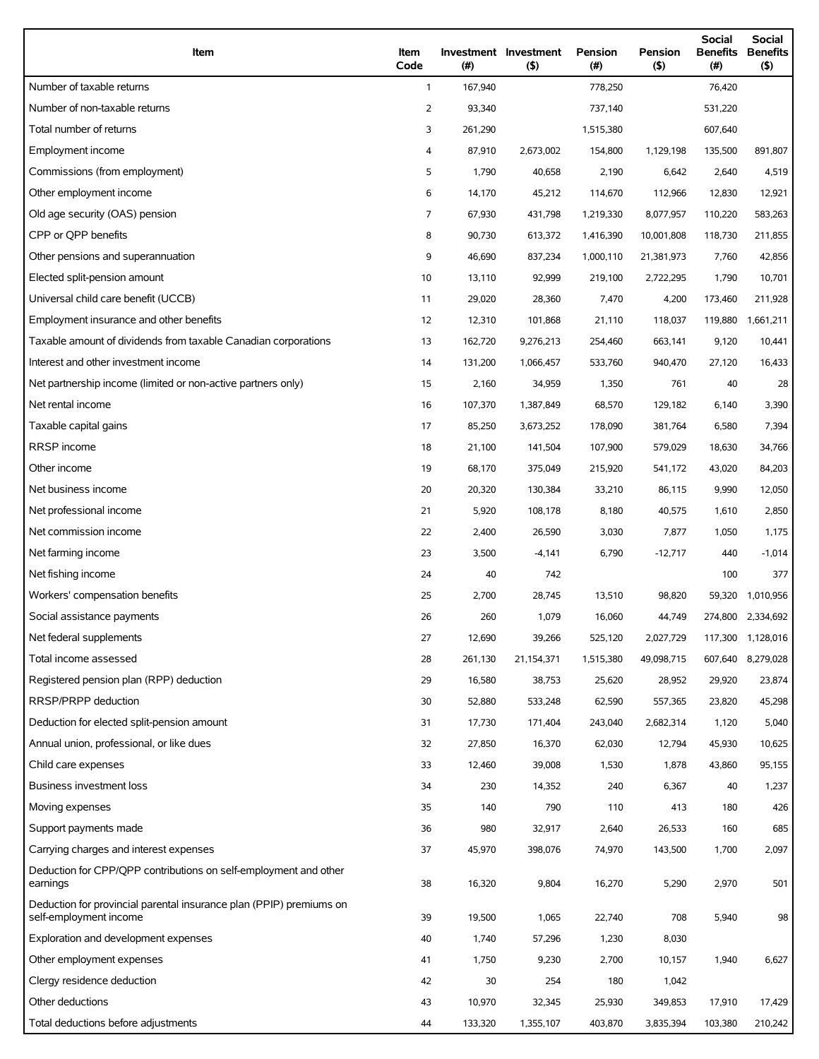| Item                                                                                          | Item<br>Code   | (# )    | Investment Investment<br>(5) | Pension<br>(#) | Pension<br>(5) | <b>Social</b><br><b>Benefits</b><br>(#) | Social<br><b>Benefits</b><br>(5) |
|-----------------------------------------------------------------------------------------------|----------------|---------|------------------------------|----------------|----------------|-----------------------------------------|----------------------------------|
| Number of taxable returns                                                                     | $\mathbf{1}$   | 167,940 |                              | 778,250        |                | 76,420                                  |                                  |
| Number of non-taxable returns                                                                 | $\overline{2}$ | 93,340  |                              | 737,140        |                | 531,220                                 |                                  |
| Total number of returns                                                                       | 3              | 261,290 |                              | 1,515,380      |                | 607,640                                 |                                  |
| Employment income                                                                             | 4              | 87,910  | 2,673,002                    | 154,800        | 1,129,198      | 135,500                                 | 891,807                          |
| Commissions (from employment)                                                                 | 5              | 1,790   | 40,658                       | 2,190          | 6,642          | 2,640                                   | 4,519                            |
| Other employment income                                                                       | 6              | 14,170  | 45,212                       | 114,670        | 112,966        | 12,830                                  | 12,921                           |
| Old age security (OAS) pension                                                                | 7              | 67,930  | 431,798                      | 1,219,330      | 8,077,957      | 110,220                                 | 583,263                          |
| CPP or OPP benefits                                                                           | 8              | 90,730  | 613,372                      | 1,416,390      | 10,001,808     | 118,730                                 | 211,855                          |
| Other pensions and superannuation                                                             | 9              | 46,690  | 837,234                      | 1,000,110      | 21,381,973     | 7,760                                   | 42,856                           |
| Elected split-pension amount                                                                  | 10             | 13,110  | 92,999                       | 219,100        | 2,722,295      | 1,790                                   | 10,701                           |
| Universal child care benefit (UCCB)                                                           | 11             | 29,020  | 28,360                       | 7,470          | 4,200          | 173,460                                 | 211,928                          |
| Employment insurance and other benefits                                                       | 12             | 12,310  | 101,868                      | 21,110         | 118,037        | 119,880                                 | 1,661,211                        |
| Taxable amount of dividends from taxable Canadian corporations                                | 13             | 162,720 | 9,276,213                    | 254,460        | 663,141        | 9,120                                   | 10,441                           |
| Interest and other investment income                                                          | 14             | 131,200 | 1,066,457                    | 533,760        | 940,470        | 27,120                                  | 16,433                           |
| Net partnership income (limited or non-active partners only)                                  | 15             | 2,160   | 34,959                       | 1,350          | 761            | 40                                      | 28                               |
| Net rental income                                                                             | 16             | 107,370 | 1,387,849                    | 68,570         | 129,182        | 6,140                                   | 3,390                            |
| Taxable capital gains                                                                         | 17             | 85,250  | 3,673,252                    | 178,090        | 381,764        | 6,580                                   | 7,394                            |
| RRSP income                                                                                   | 18             | 21,100  | 141,504                      | 107,900        | 579,029        | 18,630                                  | 34,766                           |
| Other income                                                                                  | 19             | 68,170  | 375,049                      | 215,920        | 541,172        | 43,020                                  | 84,203                           |
| Net business income                                                                           | 20             | 20,320  | 130,384                      | 33,210         | 86,115         | 9,990                                   | 12,050                           |
| Net professional income                                                                       | 21             | 5,920   | 108,178                      | 8,180          | 40,575         | 1,610                                   | 2,850                            |
| Net commission income                                                                         | 22             | 2,400   | 26,590                       | 3,030          | 7,877          | 1,050                                   | 1,175                            |
| Net farming income                                                                            | 23             | 3,500   | $-4,141$                     | 6,790          | $-12,717$      | 440                                     | $-1,014$                         |
| Net fishing income                                                                            | 24             | 40      | 742                          |                |                | 100                                     | 377                              |
| Workers' compensation benefits                                                                | 25             | 2,700   | 28,745                       | 13,510         | 98,820         | 59,320                                  | 1,010,956                        |
| Social assistance payments                                                                    | 26             | 260     | 1,079                        | 16,060         | 44,749         |                                         | 274,800 2,334,692                |
| Net federal supplements                                                                       | 27             | 12,690  | 39,266                       | 525,120        | 2,027,729      | 117,300                                 | 1,128,016                        |
| Total income assessed                                                                         | 28             | 261,130 | 21, 154, 371                 | 1,515,380      | 49,098,715     | 607,640                                 | 8,279,028                        |
| Registered pension plan (RPP) deduction                                                       | 29             | 16,580  | 38,753                       | 25,620         | 28,952         | 29,920                                  | 23,874                           |
| RRSP/PRPP deduction                                                                           | 30             | 52,880  | 533,248                      | 62,590         | 557,365        | 23,820                                  | 45,298                           |
| Deduction for elected split-pension amount                                                    | 31             | 17,730  | 171,404                      | 243,040        | 2,682,314      | 1,120                                   | 5,040                            |
| Annual union, professional, or like dues                                                      | 32             | 27,850  | 16,370                       | 62,030         | 12,794         | 45,930                                  | 10,625                           |
| Child care expenses                                                                           | 33             | 12,460  | 39,008                       | 1,530          | 1,878          | 43,860                                  | 95,155                           |
| Business investment loss                                                                      | 34             | 230     | 14,352                       | 240            | 6,367          | 40                                      | 1,237                            |
| Moving expenses                                                                               | 35             | 140     | 790                          | 110            | 413            | 180                                     | 426                              |
| Support payments made                                                                         | 36             | 980     | 32,917                       | 2,640          | 26,533         | 160                                     | 685                              |
| Carrying charges and interest expenses                                                        | 37             | 45,970  | 398,076                      | 74,970         | 143,500        | 1,700                                   | 2,097                            |
| Deduction for CPP/QPP contributions on self-employment and other<br>earnings                  | 38             | 16,320  | 9,804                        | 16,270         | 5,290          | 2,970                                   | 501                              |
| Deduction for provincial parental insurance plan (PPIP) premiums on<br>self-employment income | 39             | 19,500  | 1,065                        | 22,740         | 708            | 5,940                                   | 98                               |
| Exploration and development expenses                                                          | 40             | 1,740   | 57,296                       | 1,230          | 8,030          |                                         |                                  |
| Other employment expenses                                                                     | 41             | 1,750   | 9,230                        | 2,700          | 10,157         | 1,940                                   | 6,627                            |
| Clergy residence deduction                                                                    | 42             | 30      | 254                          | 180            | 1,042          |                                         |                                  |
| Other deductions                                                                              | 43             | 10,970  | 32,345                       | 25,930         | 349,853        | 17,910                                  | 17,429                           |
| Total deductions before adjustments                                                           | 44             | 133,320 | 1,355,107                    | 403,870        | 3,835,394      | 103,380                                 | 210,242                          |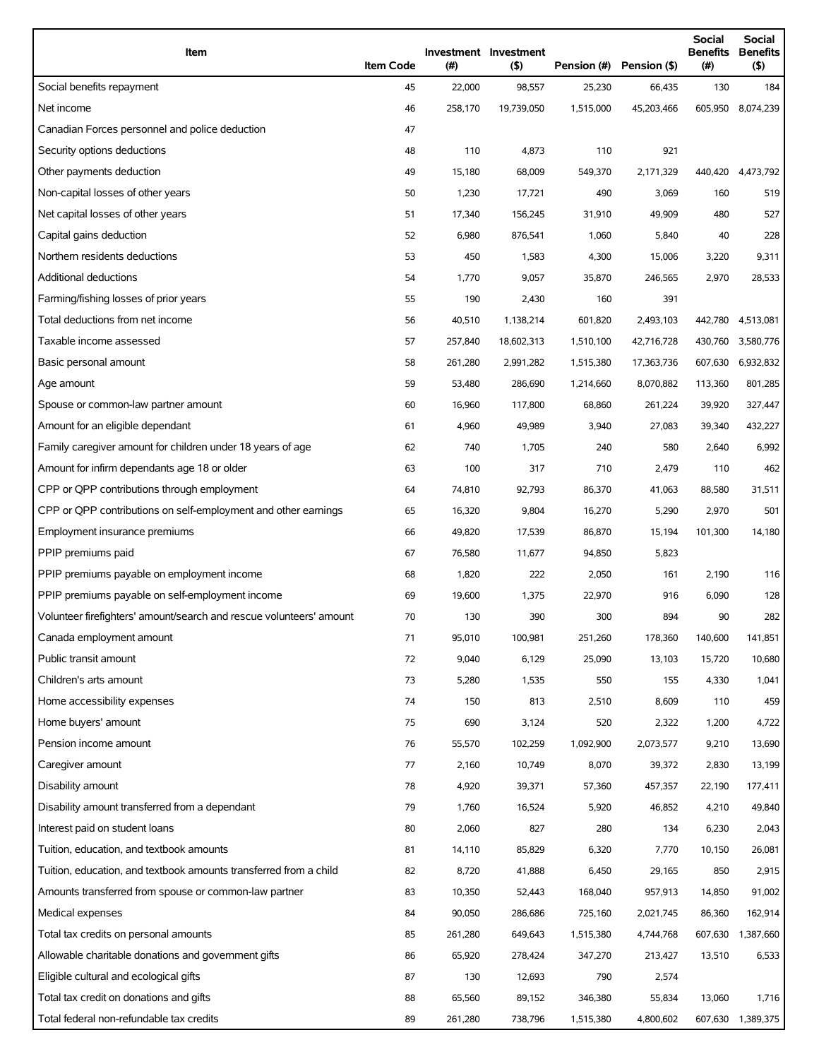| Item                                                                | <b>Item Code</b> | $(\#)$  | Investment Investment<br>$($ \$) | Pension (#) | Pension (\$) | <b>Social</b><br>(#) | <b>Social</b><br><b>Benefits Benefits</b><br>(\$) |
|---------------------------------------------------------------------|------------------|---------|----------------------------------|-------------|--------------|----------------------|---------------------------------------------------|
| Social benefits repayment                                           | 45               | 22,000  | 98,557                           | 25,230      | 66,435       | 130                  | 184                                               |
| Net income                                                          | 46               | 258,170 | 19,739,050                       | 1,515,000   | 45,203,466   |                      | 605,950 8,074,239                                 |
| Canadian Forces personnel and police deduction                      | 47               |         |                                  |             |              |                      |                                                   |
| Security options deductions                                         | 48               | 110     | 4,873                            | 110         | 921          |                      |                                                   |
| Other payments deduction                                            | 49               | 15,180  | 68,009                           | 549,370     | 2,171,329    | 440,420              | 4,473,792                                         |
| Non-capital losses of other years                                   | 50               | 1,230   | 17,721                           | 490         | 3,069        | 160                  | 519                                               |
| Net capital losses of other years                                   | 51               | 17,340  | 156,245                          | 31,910      | 49,909       | 480                  | 527                                               |
| Capital gains deduction                                             | 52               | 6,980   | 876,541                          | 1,060       | 5,840        | 40                   | 228                                               |
| Northern residents deductions                                       | 53               | 450     | 1,583                            | 4,300       | 15,006       | 3,220                | 9,311                                             |
| Additional deductions                                               | 54               | 1,770   | 9,057                            | 35,870      | 246,565      | 2,970                | 28,533                                            |
| Farming/fishing losses of prior years                               | 55               | 190     | 2,430                            | 160         | 391          |                      |                                                   |
| Total deductions from net income                                    | 56               | 40,510  | 1,138,214                        | 601,820     | 2,493,103    | 442,780              | 4,513,081                                         |
| Taxable income assessed                                             | 57               | 257,840 | 18,602,313                       | 1,510,100   | 42,716,728   | 430,760              | 3,580,776                                         |
| Basic personal amount                                               | 58               | 261,280 | 2,991,282                        | 1,515,380   | 17,363,736   | 607,630              | 6,932,832                                         |
| Age amount                                                          | 59               | 53,480  | 286,690                          | 1,214,660   | 8,070,882    | 113,360              | 801,285                                           |
| Spouse or common-law partner amount                                 | 60               | 16,960  | 117,800                          | 68,860      | 261,224      | 39,920               | 327,447                                           |
| Amount for an eligible dependant                                    | 61               | 4,960   | 49,989                           | 3,940       | 27,083       | 39,340               | 432,227                                           |
| Family caregiver amount for children under 18 years of age          | 62               | 740     | 1,705                            | 240         | 580          | 2,640                | 6,992                                             |
| Amount for infirm dependants age 18 or older                        | 63               | 100     | 317                              | 710         | 2,479        | 110                  | 462                                               |
| CPP or QPP contributions through employment                         | 64               | 74,810  | 92,793                           | 86,370      | 41,063       | 88,580               | 31,511                                            |
| CPP or QPP contributions on self-employment and other earnings      | 65               | 16,320  | 9,804                            | 16,270      | 5,290        | 2,970                | 501                                               |
| Employment insurance premiums                                       | 66               | 49,820  | 17,539                           | 86,870      | 15,194       | 101,300              | 14,180                                            |
| PPIP premiums paid                                                  | 67               | 76,580  | 11,677                           | 94,850      | 5,823        |                      |                                                   |
| PPIP premiums payable on employment income                          | 68               | 1,820   | 222                              | 2,050       | 161          | 2,190                | 116                                               |
| PPIP premiums payable on self-employment income                     | 69               | 19,600  | 1,375                            | 22,970      | 916          | 6,090                | 128                                               |
| Volunteer firefighters' amount/search and rescue volunteers' amount | 70               | 130     | 390                              | 300         | 894          | 90                   | 282                                               |
| Canada employment amount                                            | 71               | 95,010  | 100,981                          | 251,260     | 178,360      | 140,600              | 141,851                                           |
| Public transit amount                                               | 72               | 9,040   | 6,129                            | 25,090      | 13,103       | 15,720               | 10,680                                            |
| Children's arts amount                                              | 73               | 5,280   | 1,535                            | 550         | 155          | 4,330                | 1,041                                             |
| Home accessibility expenses                                         | 74               | 150     | 813                              | 2,510       | 8,609        | 110                  | 459                                               |
| Home buyers' amount                                                 | 75               | 690     | 3,124                            | 520         | 2,322        | 1,200                | 4,722                                             |
| Pension income amount                                               | 76               | 55,570  | 102,259                          | 1,092,900   | 2,073,577    | 9,210                | 13,690                                            |
| Caregiver amount                                                    | 77               | 2,160   | 10,749                           | 8,070       | 39,372       | 2,830                | 13,199                                            |
| Disability amount                                                   | 78               | 4,920   | 39,371                           | 57,360      | 457,357      | 22,190               | 177,411                                           |
| Disability amount transferred from a dependant                      | 79               | 1,760   | 16,524                           | 5,920       | 46,852       | 4,210                | 49,840                                            |
| Interest paid on student loans                                      | 80               | 2,060   | 827                              | 280         | 134          | 6,230                | 2,043                                             |
| Tuition, education, and textbook amounts                            | 81               | 14,110  | 85,829                           | 6,320       | 7,770        | 10,150               | 26,081                                            |
| Tuition, education, and textbook amounts transferred from a child   | 82               | 8,720   | 41,888                           | 6,450       | 29,165       | 850                  | 2,915                                             |
| Amounts transferred from spouse or common-law partner               | 83               | 10,350  | 52,443                           | 168,040     | 957,913      | 14,850               | 91,002                                            |
| Medical expenses                                                    | 84               | 90,050  | 286,686                          | 725,160     | 2,021,745    | 86,360               | 162,914                                           |
| Total tax credits on personal amounts                               | 85               | 261,280 | 649,643                          | 1,515,380   | 4,744,768    | 607,630              | 1,387,660                                         |
| Allowable charitable donations and government gifts                 | 86               | 65,920  | 278,424                          | 347,270     | 213,427      | 13,510               | 6,533                                             |
| Eligible cultural and ecological gifts                              | 87               | 130     | 12,693                           | 790         | 2,574        |                      |                                                   |
| Total tax credit on donations and gifts                             | 88               | 65,560  | 89,152                           | 346,380     | 55,834       | 13,060               | 1,716                                             |
| Total federal non-refundable tax credits                            | 89               | 261,280 | 738,796                          | 1,515,380   | 4,800,602    |                      | 607,630 1,389,375                                 |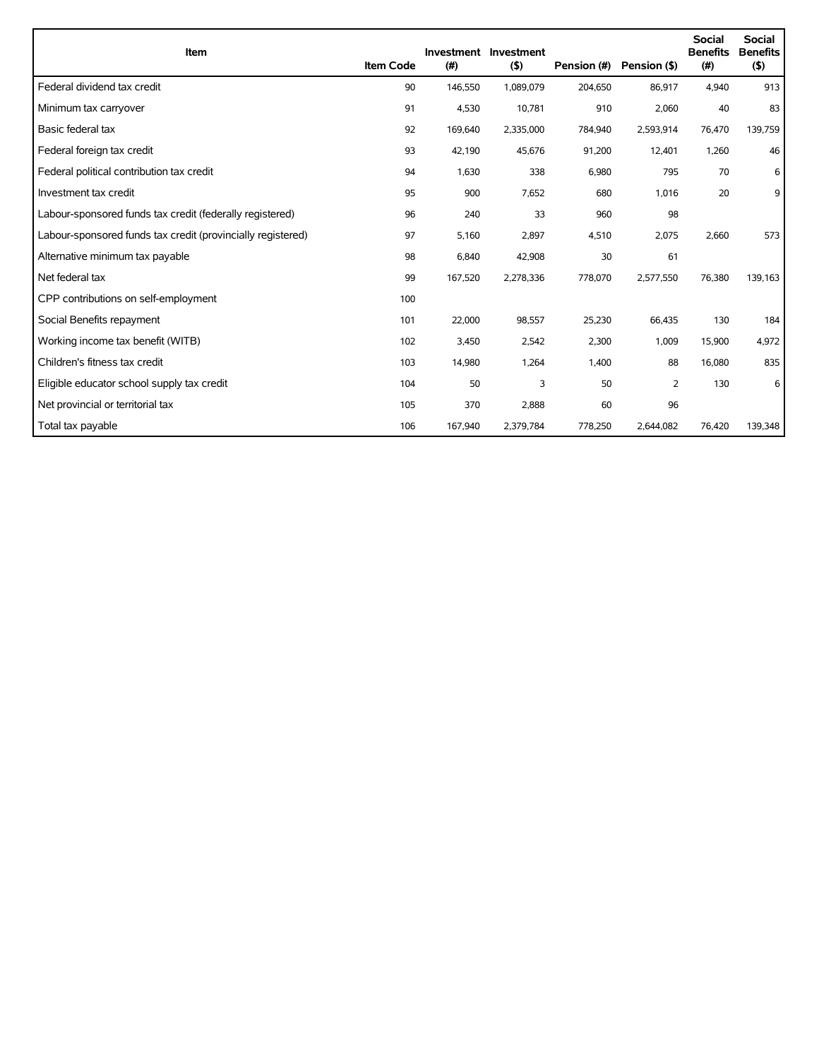| Item                                                        | <b>Item Code</b> | (#)     | Investment Investment<br>(5) | Pension (#) | Pension (\$) | <b>Social</b><br><b>Benefits</b><br>(#) | <b>Social</b><br><b>Benefits</b><br>(5) |
|-------------------------------------------------------------|------------------|---------|------------------------------|-------------|--------------|-----------------------------------------|-----------------------------------------|
| Federal dividend tax credit                                 | 90               | 146,550 | 1,089,079                    | 204,650     | 86,917       | 4,940                                   | 913                                     |
| Minimum tax carryover                                       | 91               | 4,530   | 10,781                       | 910         | 2,060        | 40                                      | 83                                      |
| Basic federal tax                                           | 92               | 169,640 | 2,335,000                    | 784,940     | 2,593,914    | 76,470                                  | 139,759                                 |
| Federal foreign tax credit                                  | 93               | 42,190  | 45,676                       | 91,200      | 12,401       | 1,260                                   | 46                                      |
| Federal political contribution tax credit                   | 94               | 1,630   | 338                          | 6,980       | 795          | 70                                      | 6                                       |
| Investment tax credit                                       | 95               | 900     | 7,652                        | 680         | 1,016        | 20                                      | 9                                       |
| Labour-sponsored funds tax credit (federally registered)    | 96               | 240     | 33                           | 960         | 98           |                                         |                                         |
| Labour-sponsored funds tax credit (provincially registered) | 97               | 5,160   | 2,897                        | 4,510       | 2,075        | 2,660                                   | 573                                     |
| Alternative minimum tax payable                             | 98               | 6,840   | 42,908                       | 30          | 61           |                                         |                                         |
| Net federal tax                                             | 99               | 167,520 | 2,278,336                    | 778,070     | 2,577,550    | 76,380                                  | 139,163                                 |
| CPP contributions on self-employment                        | 100              |         |                              |             |              |                                         |                                         |
| Social Benefits repayment                                   | 101              | 22,000  | 98,557                       | 25,230      | 66,435       | 130                                     | 184                                     |
| Working income tax benefit (WITB)                           | 102              | 3,450   | 2,542                        | 2,300       | 1,009        | 15,900                                  | 4,972                                   |
| Children's fitness tax credit                               | 103              | 14,980  | 1,264                        | 1,400       | 88           | 16,080                                  | 835                                     |
| Eligible educator school supply tax credit                  | 104              | 50      | 3                            | 50          | 2            | 130                                     | 6                                       |
| Net provincial or territorial tax                           | 105              | 370     | 2.888                        | 60          | 96           |                                         |                                         |
| Total tax payable                                           | 106              | 167,940 | 2,379,784                    | 778,250     | 2,644,082    | 76,420                                  | 139,348                                 |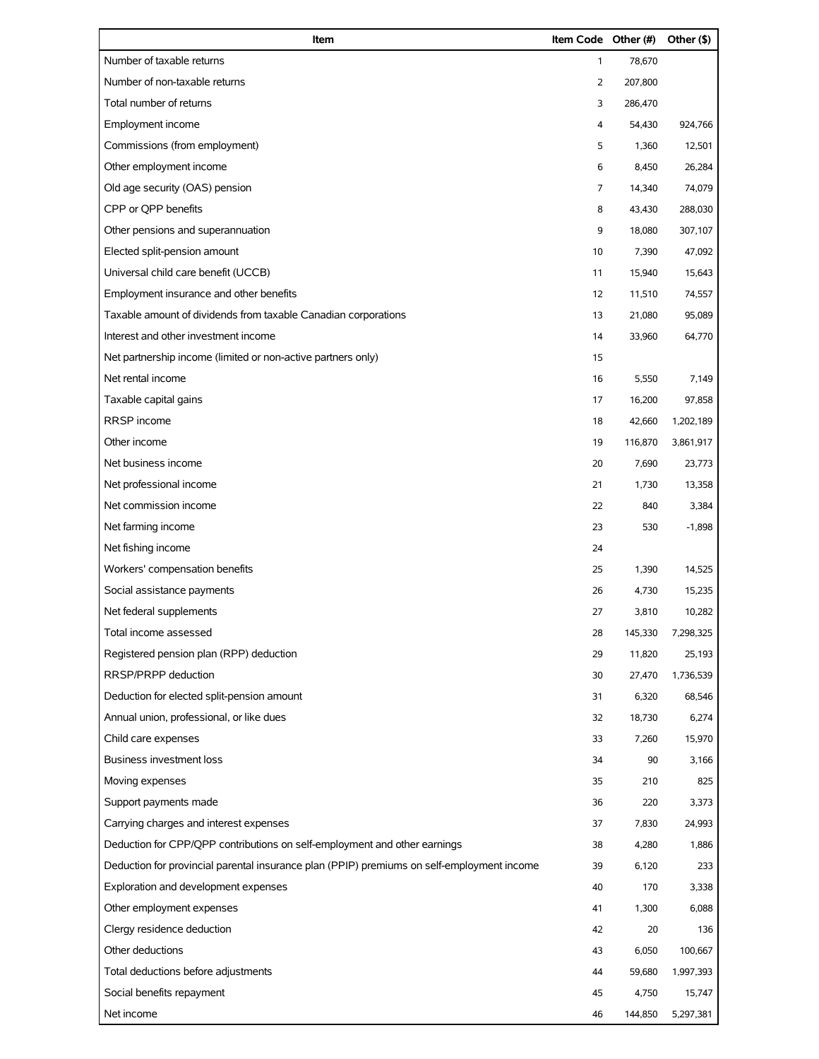| Item                                                                                       | Item Code Other (#) |         | Other (\$) |
|--------------------------------------------------------------------------------------------|---------------------|---------|------------|
| Number of taxable returns                                                                  | $\mathbf{1}$        | 78,670  |            |
| Number of non-taxable returns                                                              | 2                   | 207,800 |            |
| Total number of returns                                                                    | 3                   | 286,470 |            |
| Employment income                                                                          | 4                   | 54,430  | 924,766    |
| Commissions (from employment)                                                              | 5                   | 1,360   | 12,501     |
| Other employment income                                                                    | 6                   | 8,450   | 26,284     |
| Old age security (OAS) pension                                                             | 7                   | 14,340  | 74,079     |
| CPP or QPP benefits                                                                        | 8                   | 43,430  | 288,030    |
| Other pensions and superannuation                                                          | 9                   | 18,080  | 307,107    |
| Elected split-pension amount                                                               | 10                  | 7,390   | 47,092     |
| Universal child care benefit (UCCB)                                                        | 11                  | 15,940  | 15,643     |
| Employment insurance and other benefits                                                    | 12                  | 11,510  | 74,557     |
| Taxable amount of dividends from taxable Canadian corporations                             | 13                  | 21,080  | 95,089     |
| Interest and other investment income                                                       | 14                  | 33,960  | 64,770     |
| Net partnership income (limited or non-active partners only)                               | 15                  |         |            |
| Net rental income                                                                          | 16                  | 5,550   | 7,149      |
| Taxable capital gains                                                                      | 17                  | 16,200  | 97,858     |
| RRSP income                                                                                | 18                  | 42,660  | 1,202,189  |
| Other income                                                                               | 19                  | 116,870 | 3,861,917  |
| Net business income                                                                        | 20                  | 7,690   | 23,773     |
| Net professional income                                                                    | 21                  | 1,730   | 13,358     |
| Net commission income                                                                      | 22                  | 840     | 3,384      |
| Net farming income                                                                         | 23                  | 530     | $-1,898$   |
| Net fishing income                                                                         | 24                  |         |            |
| Workers' compensation benefits                                                             | 25                  | 1,390   | 14,525     |
| Social assistance payments                                                                 | 26                  | 4,730   | 15,235     |
| Net federal supplements                                                                    | 27                  | 3,810   | 10,282     |
| Total income assessed                                                                      | 28                  | 145,330 | 7,298,325  |
| Registered pension plan (RPP) deduction                                                    | 29                  | 11,820  | 25,193     |
| RRSP/PRPP deduction                                                                        | 30                  | 27,470  | 1,736,539  |
| Deduction for elected split-pension amount                                                 | 31                  | 6,320   | 68,546     |
| Annual union, professional, or like dues                                                   | 32                  | 18,730  | 6,274      |
| Child care expenses                                                                        | 33                  | 7,260   | 15,970     |
| <b>Business investment loss</b>                                                            | 34                  | 90      | 3,166      |
| Moving expenses                                                                            | 35                  | 210     | 825        |
| Support payments made                                                                      | 36                  | 220     | 3,373      |
| Carrying charges and interest expenses                                                     | 37                  | 7,830   | 24,993     |
| Deduction for CPP/QPP contributions on self-employment and other earnings                  | 38                  | 4,280   | 1,886      |
| Deduction for provincial parental insurance plan (PPIP) premiums on self-employment income | 39                  | 6,120   | 233        |
| Exploration and development expenses                                                       | 40                  | 170     | 3,338      |
| Other employment expenses                                                                  | 41                  | 1,300   | 6,088      |
| Clergy residence deduction                                                                 | 42                  | 20      | 136        |
| Other deductions                                                                           | 43                  | 6,050   | 100,667    |
| Total deductions before adjustments                                                        | 44                  | 59,680  | 1,997,393  |
| Social benefits repayment                                                                  | 45                  | 4,750   | 15,747     |
| Net income                                                                                 | 46                  | 144,850 | 5,297,381  |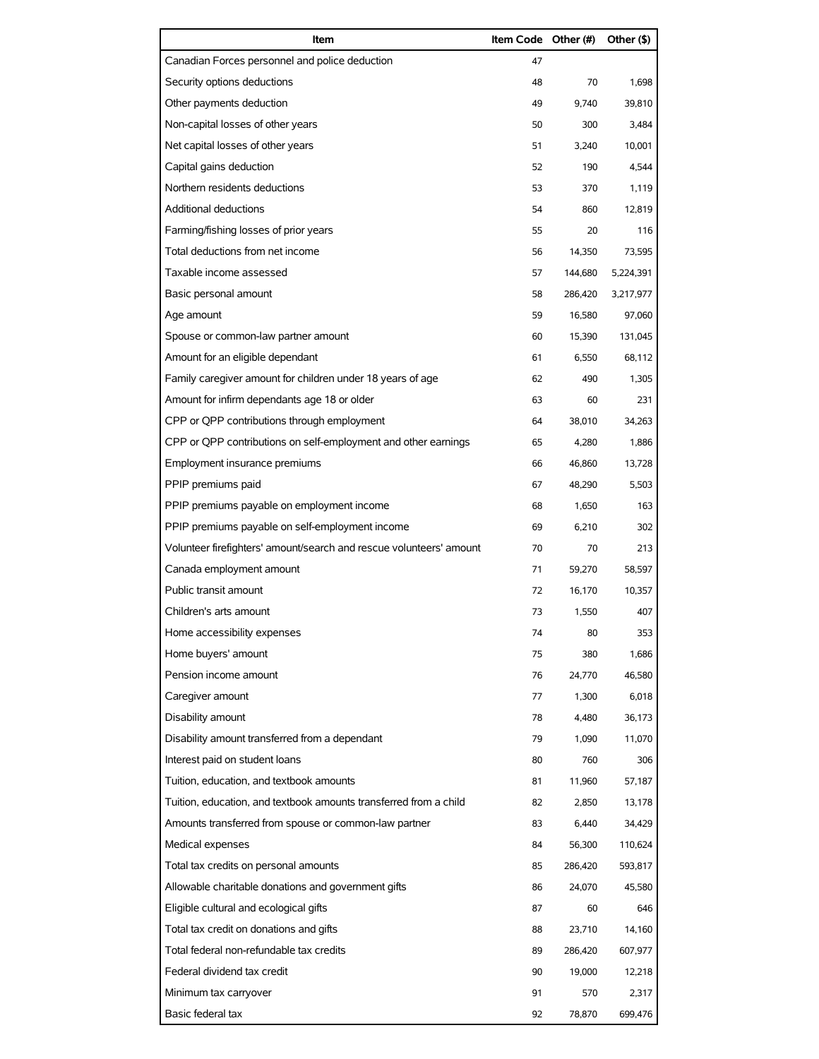| Item                                                                | Item Code Other (#) |         | Other (\$) |
|---------------------------------------------------------------------|---------------------|---------|------------|
| Canadian Forces personnel and police deduction                      | 47                  |         |            |
| Security options deductions                                         | 48                  | 70      | 1,698      |
| Other payments deduction                                            | 49                  | 9.740   | 39,810     |
| Non-capital losses of other years                                   | 50                  | 300     | 3,484      |
| Net capital losses of other years                                   | 51                  | 3,240   | 10,001     |
| Capital gains deduction                                             | 52                  | 190     | 4,544      |
| Northern residents deductions                                       | 53                  | 370     | 1.119      |
| <b>Additional deductions</b>                                        | 54                  | 860     | 12,819     |
| Farming/fishing losses of prior years                               | 55                  | 20      | 116        |
| Total deductions from net income                                    | 56                  | 14,350  | 73,595     |
| Taxable income assessed                                             | 57                  | 144,680 | 5,224,391  |
| Basic personal amount                                               | 58                  | 286.420 | 3,217,977  |
| Age amount                                                          | 59                  | 16,580  | 97,060     |
| Spouse or common-law partner amount                                 | 60                  | 15,390  | 131,045    |
| Amount for an eligible dependant                                    | 61                  | 6,550   | 68,112     |
| Family caregiver amount for children under 18 years of age          | 62                  | 490     | 1,305      |
| Amount for infirm dependants age 18 or older                        | 63                  | 60      | 231        |
| CPP or QPP contributions through employment                         | 64                  | 38,010  | 34,263     |
| CPP or QPP contributions on self-employment and other earnings      | 65                  | 4,280   | 1,886      |
| Employment insurance premiums                                       | 66                  | 46,860  | 13,728     |
| PPIP premiums paid                                                  | 67                  | 48,290  | 5,503      |
| PPIP premiums payable on employment income                          | 68                  | 1,650   | 163        |
| PPIP premiums payable on self-employment income                     | 69                  | 6,210   | 302        |
| Volunteer firefighters' amount/search and rescue volunteers' amount | 70                  | 70      | 213        |
| Canada employment amount                                            | 71                  | 59.270  | 58,597     |
| Public transit amount                                               | 72                  | 16,170  | 10,357     |
| Children's arts amount                                              | 73                  | 1,550   | 407        |
| Home accessibility expenses                                         | 74                  | 80      | 353        |
| Home buyers' amount                                                 | 75                  | 380     | 1,686      |
| Pension income amount                                               | 76                  | 24,770  | 46,580     |
| Caregiver amount                                                    | 77                  | 1,300   | 6,018      |
| Disability amount                                                   | 78                  | 4,480   | 36,173     |
| Disability amount transferred from a dependant                      | 79                  | 1,090   | 11,070     |
| Interest paid on student loans                                      | 80                  | 760     | 306        |
| Tuition, education, and textbook amounts                            | 81                  | 11,960  | 57,187     |
| Tuition, education, and textbook amounts transferred from a child   | 82                  | 2,850   | 13,178     |
| Amounts transferred from spouse or common-law partner               | 83                  | 6,440   | 34,429     |
| Medical expenses                                                    | 84                  | 56,300  | 110,624    |
| Total tax credits on personal amounts                               | 85                  | 286,420 | 593,817    |
| Allowable charitable donations and government gifts                 | 86                  | 24,070  | 45,580     |
| Eligible cultural and ecological gifts                              | 87                  | 60      | 646        |
| Total tax credit on donations and gifts                             | 88                  | 23,710  | 14,160     |
| Total federal non-refundable tax credits                            | 89                  | 286,420 | 607,977    |
| Federal dividend tax credit                                         | 90                  | 19,000  | 12,218     |
| Minimum tax carryover                                               | 91                  | 570     | 2,317      |
| Basic federal tax                                                   | 92                  | 78,870  | 699,476    |